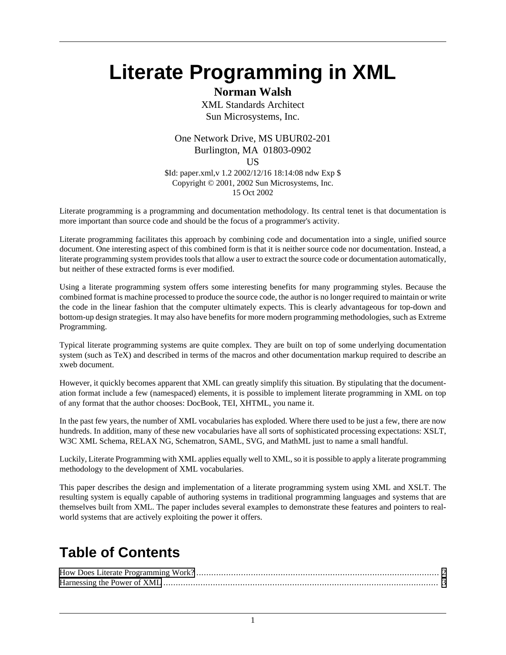# **Literate Programming in XML**

**Norman Walsh**

XML Standards Architect Sun Microsystems, Inc.

One Network Drive, MS UBUR02-201 Burlington, MA 01803-0902 US \$Id: paper.xml,v 1.2 2002/12/16 18:14:08 ndw Exp \$ Copyright © 2001, 2002 Sun Microsystems, Inc. 15 Oct 2002

Literate programming is a programming and documentation methodology. Its central tenet is that documentation is more important than source code and should be the focus of a programmer's activity.

Literate programming facilitates this approach by combining code and documentation into a single, unified source document. One interesting aspect of this combined form is that it is neither source code nor documentation. Instead, a literate programming system provides tools that allow a user to extract the source code or documentation automatically, but neither of these extracted forms is ever modified.

Using a literate programming system offers some interesting benefits for many programming styles. Because the combined format is machine processed to produce the source code, the author is no longer required to maintain or write the code in the linear fashion that the computer ultimately expects. This is clearly advantageous for top-down and bottom-up design strategies. It may also have benefits for more modern programming methodologies, such as Extreme Programming.

Typical literate programming systems are quite complex. They are built on top of some underlying documentation system (such as TeX) and described in terms of the macros and other documentation markup required to describe an xweb document.

However, it quickly becomes apparent that XML can greatly simplify this situation. By stipulating that the documentation format include a few (namespaced) elements, it is possible to implement literate programming in XML on top of any format that the author chooses: DocBook, TEI, XHTML, you name it.

In the past few years, the number of XML vocabularies has exploded. Where there used to be just a few, there are now hundreds. In addition, many of these new vocabularies have all sorts of sophisticated processing expectations: XSLT, W3C XML Schema, RELAX NG, Schematron, SAML, SVG, and MathML just to name a small handful.

Luckily, Literate Programming with XML applies equally well to XML, so it is possible to apply a literate programming methodology to the development of XML vocabularies.

This paper describes the design and implementation of a literate programming system using XML and XSLT. The resulting system is equally capable of authoring systems in traditional programming languages and systems that are themselves built from XML. The paper includes several examples to demonstrate these features and pointers to realworld systems that are actively exploiting the power it offers.

## **Table of Contents**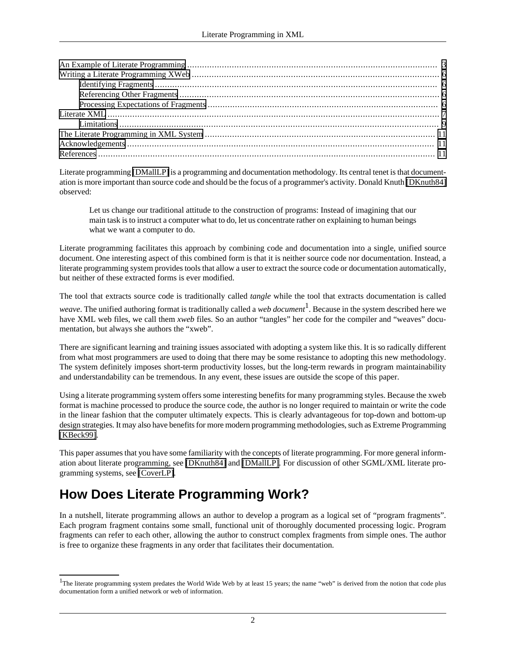Literate programming [\[DMallLP\]](#page-11-0) is a programming and documentation methodology. Its central tenet is that documentation is more important than source code and should be the focus of a programmer's activity. Donald Knuth [\[DKnuth84\]](#page-11-1) observed:

Let us change our traditional attitude to the construction of programs: Instead of imagining that our main task is to instruct a computer what to do, let us concentrate rather on explaining to human beings what we want a computer to do.

Literate programming facilitates this approach by combining code and documentation into a single, unified source document. One interesting aspect of this combined form is that it is neither source code nor documentation. Instead, a literate programming system provides tools that allow a user to extract the source code or documentation automatically, but neither of these extracted forms is ever modified.

The tool that extracts source code is traditionally called *tangle* while the tool that extracts documentation is called

*weave*. The unified authoring format is traditionally called a *web document*<sup>1</sup> . Because in the system described here we have XML web files, we call them *xweb* files. So an author "tangles" her code for the compiler and "weaves" documentation, but always she authors the "xweb".

There are significant learning and training issues associated with adopting a system like this. It is so radically different from what most programmers are used to doing that there may be some resistance to adopting this new methodology. The system definitely imposes short-term productivity losses, but the long-term rewards in program maintainability and understandability can be tremendous. In any event, these issues are outside the scope of this paper.

Using a literate programming system offers some interesting benefits for many programming styles. Because the xweb format is machine processed to produce the source code, the author is no longer required to maintain or write the code in the linear fashion that the computer ultimately expects. This is clearly advantageous for top-down and bottom-up design strategies. It may also have benefits for more modern programming methodologies, such as Extreme Programming [\[KBeck99\]](#page-11-2).

<span id="page-1-0"></span>This paper assumes that you have some familiarity with the concepts of literate programming. For more general information about literate programming, see [\[DKnuth84\]](#page-11-1) and [\[DMallLP\].](#page-11-0) For discussion of other SGML/XML literate programming systems, see [\[CoverLP\]](#page-10-3).

## **How Does Literate Programming Work?**

In a nutshell, literate programming allows an author to develop a program as a logical set of "program fragments". Each program fragment contains some small, functional unit of thoroughly documented processing logic. Program fragments can refer to each other, allowing the author to construct complex fragments from simple ones. The author is free to organize these fragments in any order that facilitates their documentation.

<sup>&</sup>lt;sup>1</sup>The literate programming system predates the World Wide Web by at least 15 years; the name "web" is derived from the notion that code plus documentation form a unified network or web of information.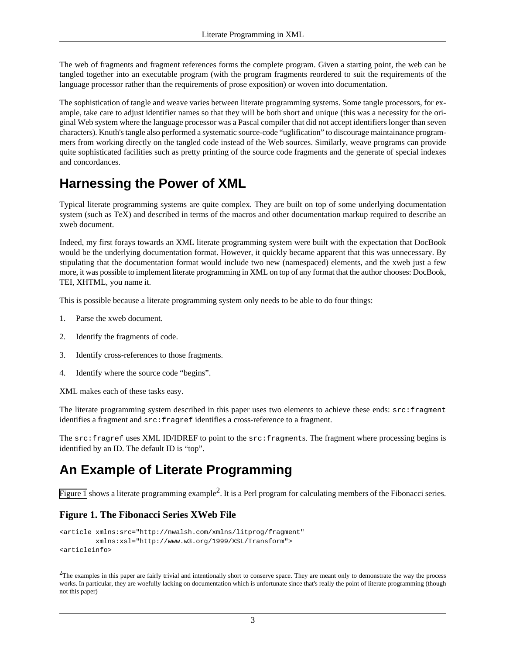The web of fragments and fragment references forms the complete program. Given a starting point, the web can be tangled together into an executable program (with the program fragments reordered to suit the requirements of the language processor rather than the requirements of prose exposition) or woven into documentation.

The sophistication of tangle and weave varies between literate programming systems. Some tangle processors, for example, take care to adjust identifier names so that they will be both short and unique (this was a necessity for the original Web system where the language processor was a Pascal compiler that did not accept identifiers longer than seven characters). Knuth's tangle also performed a systematic source-code "uglification" to discourage maintainance programmers from working directly on the tangled code instead of the Web sources. Similarly, weave programs can provide quite sophisticated facilities such as pretty printing of the source code fragments and the generate of special indexes and concordances.

### <span id="page-2-0"></span>**Harnessing the Power of XML**

Typical literate programming systems are quite complex. They are built on top of some underlying documentation system (such as TeX) and described in terms of the macros and other documentation markup required to describe an xweb document.

Indeed, my first forays towards an XML literate programming system were built with the expectation that DocBook would be the underlying documentation format. However, it quickly became apparent that this was unnecessary. By stipulating that the documentation format would include two new (namespaced) elements, and the xweb just a few more, it was possible to implement literate programming in XML on top of any format that the author chooses: DocBook, TEI, XHTML, you name it.

This is possible because a literate programming system only needs to be able to do four things:

- 1. Parse the xweb document.
- 2. Identify the fragments of code.
- 3. Identify cross-references to those fragments.
- 4. Identify where the source code "begins".

XML makes each of these tasks easy.

<span id="page-2-1"></span>The literate programming system described in this paper uses two elements to achieve these ends: src:fragment identifies a fragment and src:fragref identifies a cross-reference to a fragment.

The src:fragref uses XML ID/IDREF to point to the src:fragments. The fragment where processing begins is identified by an ID. The default ID is "top".

### <span id="page-2-2"></span>**An Example of Literate Programming**

[Figure 1](#page-2-2) shows a literate programming example<sup>2</sup>. It is a Perl program for calculating members of the Fibonacci series.

#### **Figure 1. The Fibonacci Series XWeb File**

```
<article xmlns:src="http://nwalsh.com/xmlns/litprog/fragment"
          xmlns:xsl="http://www.w3.org/1999/XSL/Transform">
<articleinfo>
```
 $2$ The examples in this paper are fairly trivial and intentionally short to conserve space. They are meant only to demonstrate the way the process works. In particular, they are woefully lacking on documentation which is unfortunate since that's really the point of literate programming (though not this paper)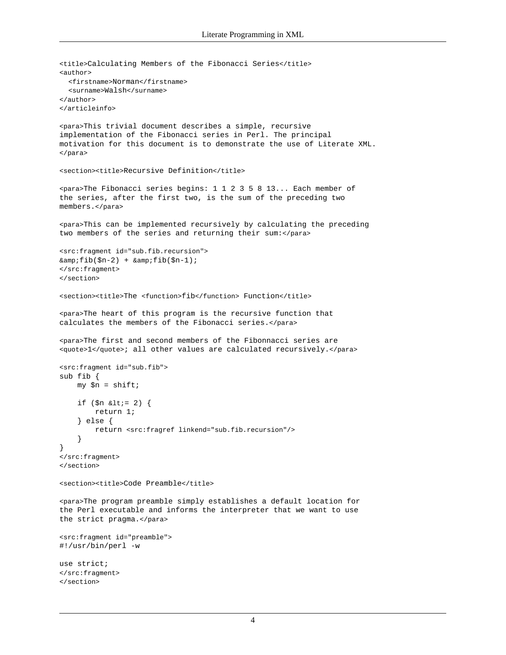```
<title>Calculating Members of the Fibonacci Series</title>
<author>
   <firstname>Norman</firstname>
   <surname>Walsh</surname>
</author>
</articleinfo>
<para>This trivial document describes a simple, recursive
implementation of the Fibonacci series in Perl. The principal
motivation for this document is to demonstrate the use of Literate XML.
</para>
<section><title>Recursive Definition</title>
<para>The Fibonacci series begins: 1 1 2 3 5 8 13... Each member of
the series, after the first two, is the sum of the preceding two
members.</para>
<para>This can be implemented recursively by calculating the preceding
two members of the series and returning their sum:</para>
<src:fragment id="sub.fib.recursion">
\text{Ramp:} \text{fib}(\text{sn-2}) + \text{Ramp:} \text{fib}(\text{sn-1});</src:fragment>
</section>
<section><title>The <function>fib</function> Function</title>
<para>The heart of this program is the recursive function that
calculates the members of the Fibonacci series.</para>
<para>The first and second members of the Fibonnacci series are
<quote>1</quote>; all other values are calculated recursively.</para>
<src:fragment id="sub.fib">
sub fib {
    my $n = shift;if ($n \< i = 2) {
         return 1;
     } else {
         return <src:fragref linkend="sub.fib.recursion"/>
     }
}
</src:fragment>
</section>
<section><title>Code Preamble</title>
<para>The program preamble simply establishes a default location for
the Perl executable and informs the interpreter that we want to use
the strict pragma.</para>
<src:fragment id="preamble">
#!/usr/bin/perl -w
use strict;
</src:fragment>
</section>
```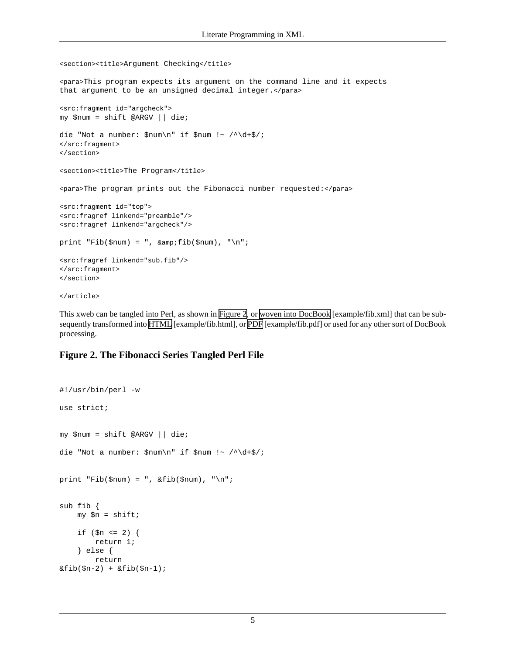```
<section><title>Argument Checking</title>
<para>This program expects its argument on the command line and it expects
that argument to be an unsigned decimal integer.</para>
<src:fragment id="argcheck">
my $num = shift @ARGV || die;
die "Not a number: $num\n" if $num !~ /^\d+$/;
</src:fragment>
</section>
<section><title>The Program</title>
<para>The program prints out the Fibonacci number requested:</para>
<src:fragment id="top">
<src:fragref linkend="preamble"/>
<src:fragref linkend="argcheck"/>
print "Fib($num) = ", \text{amp}:\text{fib}(\$num), "\n";
<src:fragref linkend="sub.fib"/>
</src:fragment>
</section>
</article>
```
<span id="page-4-0"></span>This xweb can be tangled into Perl, as shown in [Figure 2,](#page-4-0) or [woven into DocBook](example/fib.xml) [example/fib.xml] that can be subsequently transformed into [HTML](example/fib.html) [example/fib.html], or [PDF](example/fib.pdf) [example/fib.pdf] or used for any other sort of DocBook processing.

#### **Figure 2. The Fibonacci Series Tangled Perl File**

```
#!/usr/bin/perl -w
use strict;
my $num = shift @ARGV || die;
die "Not a number: \text{Sum}\{n\} if \text{Sum} !~ /\text{d+} \frac{5}{i};
print "Fib($num) = ", $fib(Snum), "\n";
sub fib {
    my $n = shift;if (\$n \leq 2) {
          return 1;
     } else {
          return 
\&fib(\xi n-2) + \&fib(\xi n-1);
```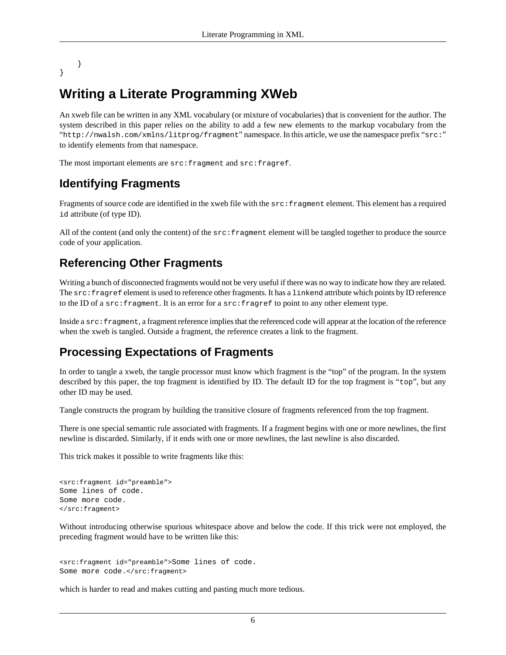#### } }

# <span id="page-5-0"></span>**Writing a Literate Programming XWeb**

An xweb file can be written in any XML vocabulary (or mixture of vocabularies) that is convenient for the author. The system described in this paper relies on the ability to add a few new elements to the markup vocabulary from the "http://nwalsh.com/xmlns/litprog/fragment" namespace. In this article, we use the namespace prefix "src:" to identify elements from that namespace.

<span id="page-5-1"></span>The most important elements are src:fragment and src:fragref.

### **Identifying Fragments**

Fragments of source code are identified in the xweb file with the src:fragment element. This element has a required id attribute (of type ID).

<span id="page-5-2"></span>All of the content (and only the content) of the src: fragment element will be tangled together to produce the source code of your application.

### **Referencing Other Fragments**

Writing a bunch of disconnected fragments would not be very useful if there was no way to indicate how they are related. The src: fragref element is used to reference other fragments. It has a linkend attribute which points by ID reference to the ID of a src:fragment. It is an error for a src:fragref to point to any other element type.

<span id="page-5-3"></span>Inside a src:fragment, a fragment reference implies that the referenced code will appear at the location of the reference when the xweb is tangled. Outside a fragment, the reference creates a link to the fragment.

### **Processing Expectations of Fragments**

In order to tangle a xweb, the tangle processor must know which fragment is the "top" of the program. In the system described by this paper, the top fragment is identified by ID. The default ID for the top fragment is "top", but any other ID may be used.

Tangle constructs the program by building the transitive closure of fragments referenced from the top fragment.

There is one special semantic rule associated with fragments. If a fragment begins with one or more newlines, the first newline is discarded. Similarly, if it ends with one or more newlines, the last newline is also discarded.

This trick makes it possible to write fragments like this:

```
<src:fragment id="preamble">
Some lines of code.
Some more code.
</src:fragment>
```
Without introducing otherwise spurious whitespace above and below the code. If this trick were not employed, the preceding fragment would have to be written like this:

```
<src:fragment id="preamble">Some lines of code.
Some more code.</src:fragment>
```
which is harder to read and makes cutting and pasting much more tedious.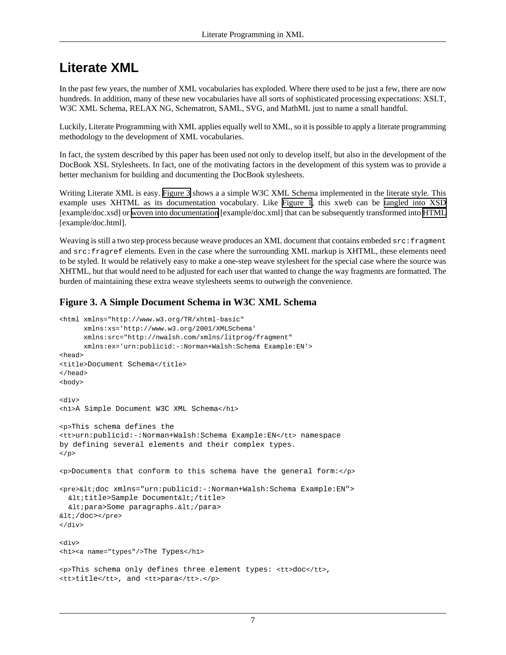### <span id="page-6-0"></span>**Literate XML**

In the past few years, the number of XML vocabularies has exploded. Where there used to be just a few, there are now hundreds. In addition, many of these new vocabularies have all sorts of sophisticated processing expectations: XSLT, W3C XML Schema, RELAX NG, Schematron, SAML, SVG, and MathML just to name a small handful.

Luckily, Literate Programming with XML applies equally well to XML, so it is possible to apply a literate programming methodology to the development of XML vocabularies.

In fact, the system described by this paper has been used not only to develop itself, but also in the development of the DocBook XSL Stylesheets. In fact, one of the motivating factors in the development of this system was to provide a better mechanism for building and documenting the DocBook stylesheets.

Writing Literate XML is easy. [Figure 3](#page-6-1) shows a a simple W3C XML Schema implemented in the literate style. This example uses XHTML as its documentation vocabulary. Like [Figure 1,](#page-2-2) this xweb can be [tangled into XSD](example/doc.xsd) [example/doc.xsd] or [woven into documentation](example/doc.xml) [example/doc.xml] that can be subsequently transformed into [HTML](example/doc.html) [example/doc.html].

<span id="page-6-1"></span>Weaving is still a two step process because weave produces an XML document that contains embeded  $src:fragment$ and src:fragref elements. Even in the case where the surrounding XML markup is XHTML, these elements need to be styled. It would be relatively easy to make a one-step weave stylesheet for the special case where the source was XHTML, but that would need to be adjusted for each user that wanted to change the way fragments are formatted. The burden of maintaining these extra weave stylesheets seems to outweigh the convenience.

#### **Figure 3. A Simple Document Schema in W3C XML Schema**

```
<html xmlns="http://www.w3.org/TR/xhtml-basic"
      xmlns:xs='http://www.w3.org/2001/XMLSchema'
      xmlns:src="http://nwalsh.com/xmlns/litprog/fragment"
      xmlns:ex='urn:publicid:-:Norman+Walsh:Schema Example:EN'>
<head>
<title>Document Schema</title>
</head>
<body>
<div>
<h1>A Simple Document W3C XML Schema</h1>
<p>This schema defines the
<tt>urn:publicid:-:Norman+Walsh:Schema Example:EN</tt> namespace
by defining several elements and their complex types.
\langle/p>
<p>Documents that conform to this schema have the general form:</p>
<pre>&lt;doc xmlns="urn:publicid:-:Norman+Walsh:Schema Example:EN">
  <title>Sample Document&lt;/title>
  < para>Some paragraphs. &lt; /para>
</doc></pre>
</div>
<div>
<h1><a name="types"/>The Types</h1>
<p>This schema only defines three element types: <tt>doc</tt>,
<tt>title</tt>, and <tt>para</tt>.</p>
```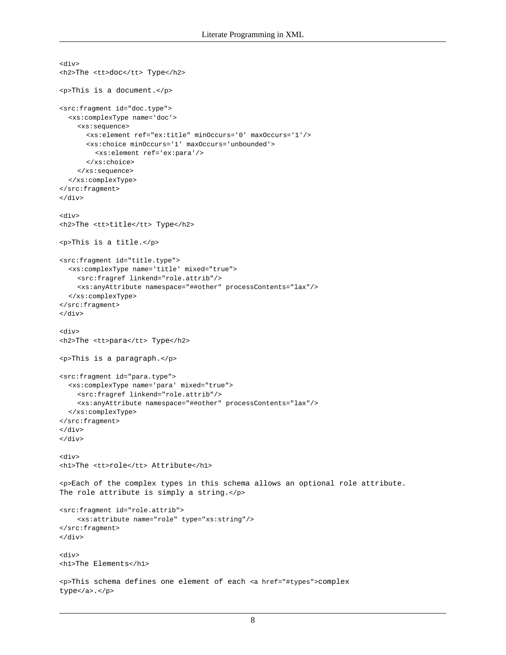```
<div>
<h2>The <tt>doc</tt> Type</h2>
<p>This is a document.</p>
<src:fragment id="doc.type">
   <xs:complexType name='doc'>
     <xs:sequence>
       <xs:element ref="ex:title" minOccurs='0' maxOccurs='1'/>
       <xs:choice minOccurs='1' maxOccurs='unbounded'>
          <xs:element ref='ex:para'/>
       </xs:choice>
     </xs:sequence>
   </xs:complexType>
</src:fragment>
</div>
<div>
<h2>The <tt>title</tt> Type</h2>
<p>This is a title.</p>
<src:fragment id="title.type">
   <xs:complexType name='title' mixed="true">
     <src:fragref linkend="role.attrib"/>
     <xs:anyAttribute namespace="##other" processContents="lax"/>
   </xs:complexType>
</src:fragment>
\langlediv><div>
<h2>The <tt>para</tt> Type</h2>
<p>This is a paragraph.</p>
<src:fragment id="para.type">
   <xs:complexType name='para' mixed="true">
     <src:fragref linkend="role.attrib"/>
     <xs:anyAttribute namespace="##other" processContents="lax"/>
   </xs:complexType>
</src:fragment>
</div>
</div>
<div>
<h1>The <tt>role</tt> Attribute</h1>
<p>Each of the complex types in this schema allows an optional role attribute.
The role attribute is simply a string.</p>
<src:fragment id="role.attrib">
     <xs:attribute name="role" type="xs:string"/>
</src:fragment>
</div>
<div>
<h1>The Elements</h1>
<p>This schema defines one element of each <a href="#types">complex
type</a>.</p>
```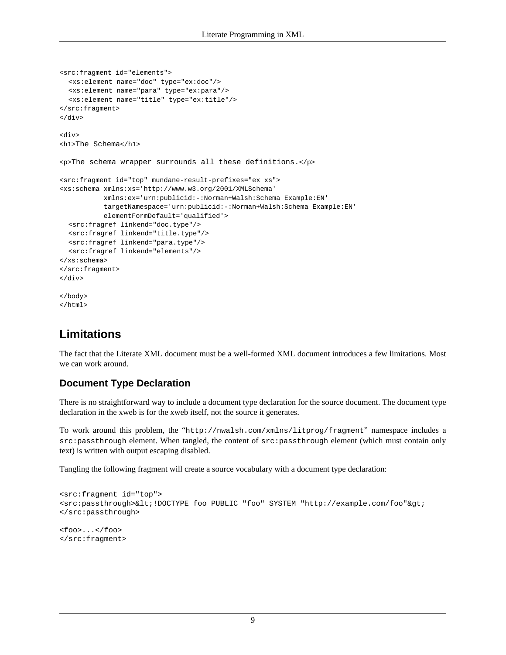```
<src:fragment id="elements">
   <xs:element name="doc" type="ex:doc"/>
   <xs:element name="para" type="ex:para"/>
   <xs:element name="title" type="ex:title"/>
</src:fragment>
</div>
<div>
<h1>The Schema</h1>
<p>The schema wrapper surrounds all these definitions.</p>
<src:fragment id="top" mundane-result-prefixes="ex xs">
<xs:schema xmlns:xs='http://www.w3.org/2001/XMLSchema'
            xmlns:ex='urn:publicid:-:Norman+Walsh:Schema Example:EN'
            targetNamespace='urn:publicid:-:Norman+Walsh:Schema Example:EN'
            elementFormDefault='qualified'>
   <src:fragref linkend="doc.type"/>
   <src:fragref linkend="title.type"/>
   <src:fragref linkend="para.type"/>
   <src:fragref linkend="elements"/>
</xs:schema>
</src:fragment>
</div>
</body>
</html>
```
### <span id="page-8-0"></span>**Limitations**

The fact that the Literate XML document must be a well-formed XML document introduces a few limitations. Most we can work around.

#### **Document Type Declaration**

There is no straightforward way to include a document type declaration for the source document. The document type declaration in the xweb is for the xweb itself, not the source it generates.

To work around this problem, the "http://nwalsh.com/xmlns/litprog/fragment" namespace includes a src:passthrough element. When tangled, the content of src:passthrough element (which must contain only text) is written with output escaping disabled.

Tangling the following fragment will create a source vocabulary with a document type declaration:

```
<src:fragment id="top">
<src:passthrough>&lt; !DOCTYPE foo PUBLIC "foo" SYSTEM "http://example.com/foo"&gt;
</src:passthrough>
<foo>...</foo></src:fragment>
```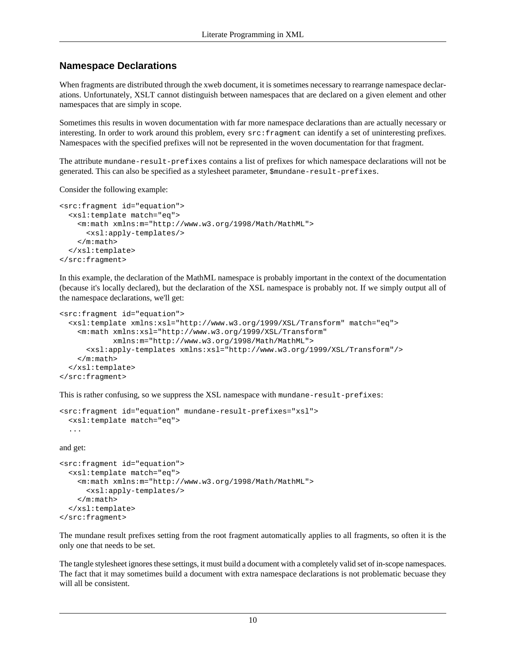#### **Namespace Declarations**

When fragments are distributed through the xweb document, it is sometimes necessary to rearrange namespace declarations. Unfortunately, XSLT cannot distinguish between namespaces that are declared on a given element and other namespaces that are simply in scope.

Sometimes this results in woven documentation with far more namespace declarations than are actually necessary or interesting. In order to work around this problem, every src:fragment can identify a set of uninteresting prefixes. Namespaces with the specified prefixes will not be represented in the woven documentation for that fragment.

The attribute mundane-result-prefixes contains a list of prefixes for which namespace declarations will not be generated. This can also be specified as a stylesheet parameter, \$mundane-result-prefixes.

Consider the following example:

```
<src:fragment id="equation">
   <xsl:template match="eq">
     <m:math xmlns:m="http://www.w3.org/1998/Math/MathML">
       <xsl:apply-templates/>
     </m:math>
   </xsl:template>
</src:fragment>
```
In this example, the declaration of the MathML namespace is probably important in the context of the documentation (because it's locally declared), but the declaration of the XSL namespace is probably not. If we simply output all of the namespace declarations, we'll get:

```
<src:fragment id="equation">
   <xsl:template xmlns:xsl="http://www.w3.org/1999/XSL/Transform" match="eq">
     <m:math xmlns:xsl="http://www.w3.org/1999/XSL/Transform"
              xmlns:m="http://www.w3.org/1998/Math/MathML">
       <xsl:apply-templates xmlns:xsl="http://www.w3.org/1999/XSL/Transform"/>
    \langle m: \mathfrak{math}\rangle </xsl:template>
</src:fragment>
```
This is rather confusing, so we suppress the XSL namespace with mundane-result-prefixes:

```
<src:fragment id="equation" mundane-result-prefixes="xsl">
   <xsl:template match="eq">
   ...
```
and get:

```
<src:fragment id="equation">
  <xsl:template match="eq">
     <m:math xmlns:m="http://www.w3.org/1998/Math/MathML">
       <xsl:apply-templates/>
     </m:math>
   </xsl:template>
</src:fragment>
```
The mundane result prefixes setting from the root fragment automatically applies to all fragments, so often it is the only one that needs to be set.

The tangle stylesheet ignores these settings, it must build a document with a completely valid set of in-scope namespaces. The fact that it may sometimes build a document with extra namespace declarations is not problematic becuase they will all be consistent.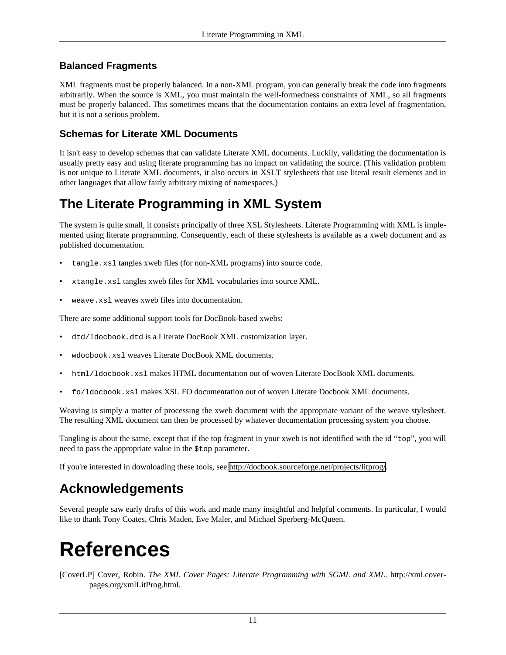#### **Balanced Fragments**

XML fragments must be properly balanced. In a non-XML program, you can generally break the code into fragments arbitrarily. When the source is XML, you must maintain the well-formedness constraints of XML, so all fragments must be properly balanced. This sometimes means that the documentation contains an extra level of fragmentation, but it is not a serious problem.

#### **Schemas for Literate XML Documents**

<span id="page-10-0"></span>It isn't easy to develop schemas that can validate Literate XML documents. Luckily, validating the documentation is usually pretty easy and using literate programming has no impact on validating the source. (This validation problem is not unique to Literate XML documents, it also occurs in XSLT stylesheets that use literal result elements and in other languages that allow fairly arbitrary mixing of namespaces.)

## **The Literate Programming in XML System**

The system is quite small, it consists principally of three XSL Stylesheets. Literate Programming with XML is implemented using literate programming. Consequently, each of these stylesheets is available as a xweb document and as published documentation.

- tangle.xsl tangles xweb files (for non-XML programs) into source code.
- xtangle.xsl tangles xweb files for XML vocabularies into source XML.
- weave.xsl weaves xweb files into documentation.

There are some additional support tools for DocBook-based xwebs:

- dtd/ldocbook.dtd is a Literate DocBook XML customization layer.
- wdocbook.xsl weaves Literate DocBook XML documents.
- html/ldocbook.xsl makes HTML documentation out of woven Literate DocBook XML documents.
- fo/ldocbook.xsl makes XSL FO documentation out of woven Literate Docbook XML documents.

Weaving is simply a matter of processing the xweb document with the appropriate variant of the weave stylesheet. The resulting XML document can then be processed by whatever documentation processing system you choose.

<span id="page-10-1"></span>Tangling is about the same, except that if the top fragment in your xweb is not identified with the id "top", you will need to pass the appropriate value in the \$top parameter.

If you're interested in downloading these tools, see [http://docbook.sourceforge.net/projects/litprog/.](http://docbook.sourceforge.net/projects/litprog/)

# <span id="page-10-2"></span>**Acknowledgements**

<span id="page-10-3"></span>Several people saw early drafts of this work and made many insightful and helpful comments. In particular, I would like to thank Tony Coates, Chris Maden, Eve Maler, and Michael Sperberg-McQueen.

# **References**

[CoverLP] Cover, Robin. *The XML Cover Pages: Literate Programming with SGML and XML*. http://xml.coverpages.org/xmlLitProg.html.